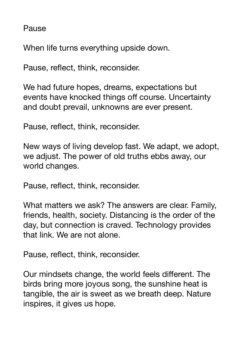Pause

When life turns everything upside down.

Pause, reflect, think, reconsider.

We had future hopes, dreams, expectations but events have knocked things off course. Uncertainty and doubt prevail, unknowns are ever present.

Pause, reflect, think, reconsider.

New ways of living develop fast. We adapt, we adopt, we adjust. The power of old truths ebbs away, our world changes.

Pause, reflect, think, reconsider.

What matters we ask? The answers are clear. Family, friends, health, society. Distancing is the order of the day, but connection is craved. Technology provides that link. We are not alone.

Pause, reflect, think, reconsider.

Our mindsets change, the world feels different. The birds bring more joyous song, the sunshine heat is tangible, the air is sweet as we breath deep. Nature inspires, it gives us hope.